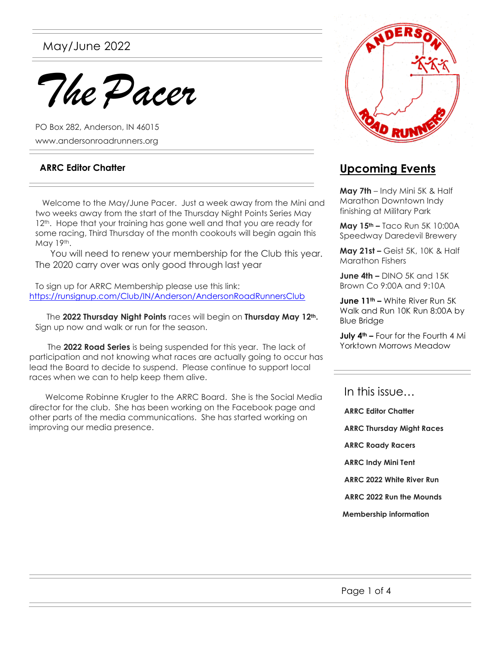May/June 2022

*The Pacer*

PO Box 282, Anderson, IN 46015 www.andersonroadrunners.org

#### **ARRC Editor Chatter**

 Welcome to the May/June Pacer. Just a week away from the Mini and two weeks away from the start of the Thursday Night Points Series May 12<sup>th</sup>. Hope that your training has gone well and that you are ready for some racing, Third Thursday of the month cookouts will begin again this May 19th.

 You will need to renew your membership for the Club this year. The 2020 carry over was only good through last year

To sign up for ARRC Membership please use this link: <https://runsignup.com/Club/IN/Anderson/AndersonRoadRunnersClub>

 The **2022 Thursday Night Points** races will begin on **Thursday May 12th.** Sign up now and walk or run for the season.

 The **2022 Road Series** is being suspended for this year. The lack of participation and not knowing what races are actually going to occur has lead the Board to decide to suspend. Please continue to support local races when we can to help keep them alive.

 Welcome Robinne Krugler to the ARRC Board. She is the Social Media director for the club. She has been working on the Facebook page and other parts of the media communications. She has started working on improving our media presence.



# **Upcoming Events**

**May 7th** – Indy Mini 5K & Half Marathon Downtown Indy finishing at Military Park

**May 15th –** Taco Run 5K 10:00A Speedway Daredevil Brewery

**May 21st –** Geist 5K, 10K & Half Marathon Fishers

**June 4th –** DINO 5K and 15K Brown Co 9:00A and 9:10A

**June 11th –** White River Run 5K Walk and Run 10K Run 8:00A by Blue Bridge

**July 4th –** Four for the Fourth 4 Mi Yorktown Morrows Meadow

In this issue…

**ARRC Editor Chatter ARRC Thursday Might Races ARRC Roady Racers ARRC Indy Mini Tent ARRC 2022 White River Run ARRC 2022 Run the Mounds Membership information**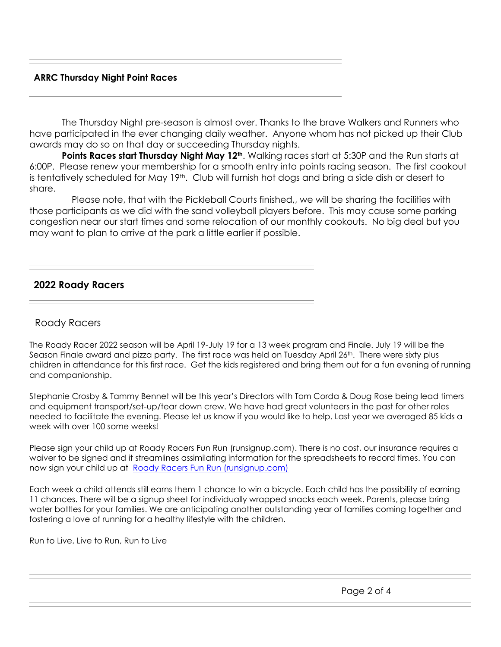#### **ARRC Thursday Night Point Races**

 The Thursday Night pre-season is almost over. Thanks to the brave Walkers and Runners who have participated in the ever changing daily weather. Anyone whom has not picked up their Club awards may do so on that day or succeeding Thursday nights.

 **Points Races start Thursday Night May 12th**. Walking races start at 5:30P and the Run starts at 6:00P. Please renew your membership for a smooth entry into points racing season. The first cookout is tentatively scheduled for May 19<sup>th</sup>. Club will furnish hot dogs and bring a side dish or desert to share.

 Please note, that with the Pickleball Courts finished,, we will be sharing the facilities with those participants as we did with the sand volleyball players before. This may cause some parking congestion near our start times and some relocation of our monthly cookouts. No big deal but you may want to plan to arrive at the park a little earlier if possible.

## **2022 Roady Racers**

#### Roady Racers

The Roady Racer 2022 season will be April 19-July 19 for a 13 week program and Finale. July 19 will be the Season Finale award and pizza party. The first race was held on Tuesday April 26th. There were sixty plus children in attendance for this first race. Get the kids registered and bring them out for a fun evening of running and companionship.

Stephanie Crosby & Tammy Bennet will be this year's Directors with Tom Corda & Doug Rose being lead timers and equipment transport/set-up/tear down crew. We have had great volunteers in the past for other roles needed to facilitate the evening. Please let us know if you would like to help. Last year we averaged 85 kids a week with over 100 some weeks!

Please sign your child up at Roady Racers Fun Run (runsignup.com). There is no cost, our insurance requires a waiver to be signed and it streamlines assimilating information for the spreadsheets to record times. You can now sign your child up at [Roady Racers Fun Run \(runsignup.com\)](https://runsignup.com/Race/IN/Anderson/RoadyFunRun)

Each week a child attends still earns them 1 chance to win a bicycle. Each child has the possibility of earning 11 chances. There will be a signup sheet for individually wrapped snacks each week. Parents, please bring water bottles for your families. We are anticipating another outstanding year of families coming together and fostering a love of running for a healthy lifestyle with the children.

Run to Live, Live to Run, Run to Live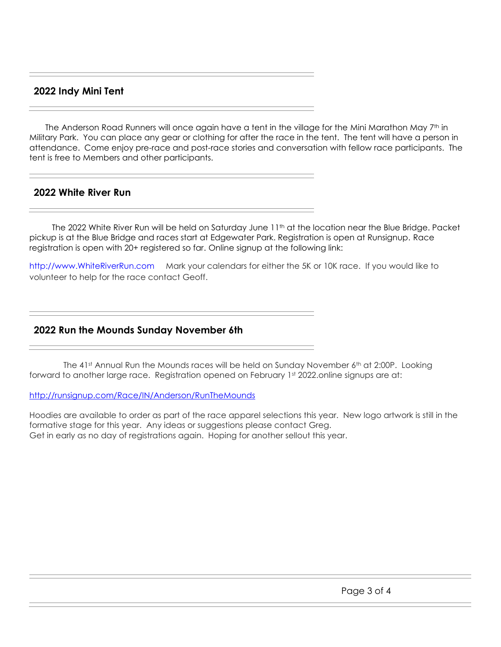### **2022 Indy Mini Tent**

The Anderson Road Runners will once again have a tent in the village for the Mini Marathon May 7<sup>th</sup> in Military Park. You can place any gear or clothing for after the race in the tent. The tent will have a person in attendance. Come enjoy pre-race and post-race stories and conversation with fellow race participants. The tent is free to Members and other participants.

#### **2022 White River Run**

The 2022 White River Run will be held on Saturday June 11<sup>th</sup> at the location near the Blue Bridge. Packet pickup is at the Blue Bridge and races start at Edgewater Park. Registration is open at Runsignup. Race registration is open with 20+ registered so far. Online signup at the following link:

http://www.WhiteRiverRun.com Mark your calendars for either the 5K or 10K race. If you would like to volunteer to help for the race contact Geoff.

### **2022 Run the Mounds Sunday November 6th**

The 41st Annual Run the Mounds races will be held on Sunday November  $6<sup>th</sup>$  at 2:00P. Looking forward to another large race. Registration opened on February 1st 2022.online signups are at:

#### <http://runsignup.com/Race/IN/Anderson/RunTheMounds>

Hoodies are available to order as part of the race apparel selections this year. New logo artwork is still in the formative stage for this year. Any ideas or suggestions please contact Greg. Get in early as no day of registrations again. Hoping for another sellout this year.